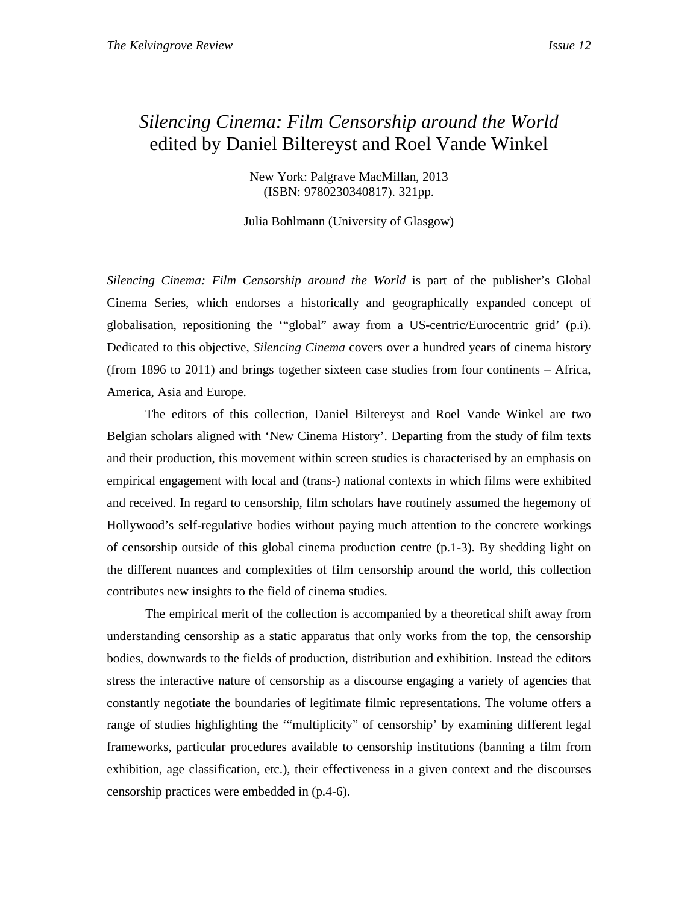## *Silencing Cinema: Film Censorship around the World*  edited by Daniel Biltereyst and Roel Vande Winkel

New York: Palgrave MacMillan, 2013 (ISBN: 9780230340817). 321pp.

Julia Bohlmann (University of Glasgow)

*Silencing Cinema: Film Censorship around the World* is part of the publisher's Global Cinema Series, which endorses a historically and geographically expanded concept of globalisation, repositioning the '"global" away from a US-centric/Eurocentric grid' (p.i). Dedicated to this objective, *Silencing Cinema* covers over a hundred years of cinema history (from 1896 to 2011) and brings together sixteen case studies from four continents – Africa, America, Asia and Europe.

The editors of this collection, Daniel Biltereyst and Roel Vande Winkel are two Belgian scholars aligned with 'New Cinema History'. Departing from the study of film texts and their production, this movement within screen studies is characterised by an emphasis on empirical engagement with local and (trans-) national contexts in which films were exhibited and received. In regard to censorship, film scholars have routinely assumed the hegemony of Hollywood's self-regulative bodies without paying much attention to the concrete workings of censorship outside of this global cinema production centre (p.1-3). By shedding light on the different nuances and complexities of film censorship around the world, this collection contributes new insights to the field of cinema studies.

The empirical merit of the collection is accompanied by a theoretical shift away from understanding censorship as a static apparatus that only works from the top, the censorship bodies, downwards to the fields of production, distribution and exhibition. Instead the editors stress the interactive nature of censorship as a discourse engaging a variety of agencies that constantly negotiate the boundaries of legitimate filmic representations. The volume offers a range of studies highlighting the '"multiplicity" of censorship' by examining different legal frameworks, particular procedures available to censorship institutions (banning a film from exhibition, age classification, etc.), their effectiveness in a given context and the discourses censorship practices were embedded in (p.4-6).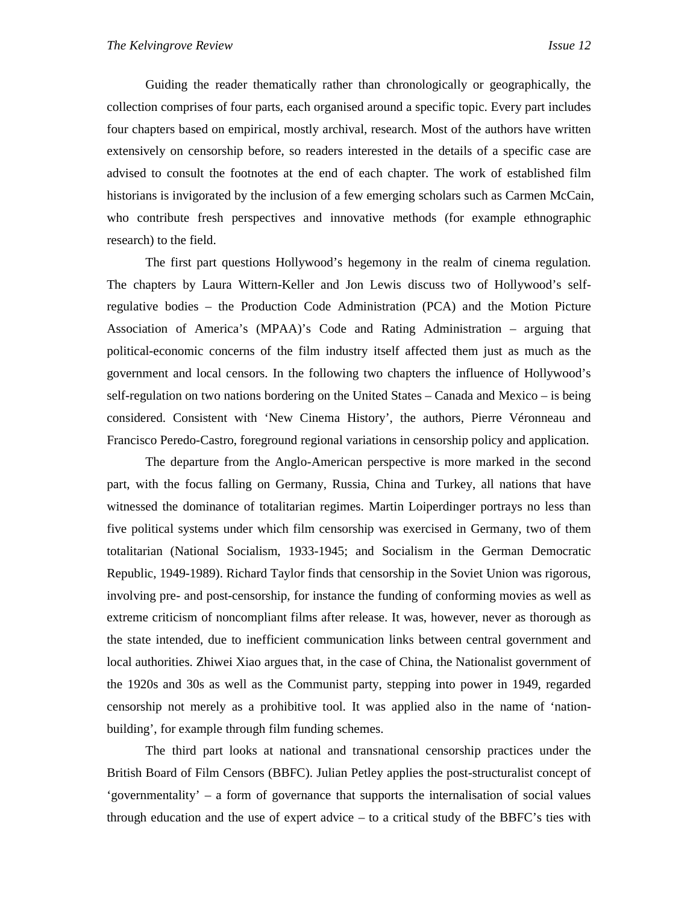Guiding the reader thematically rather than chronologically or geographically, the collection comprises of four parts, each organised around a specific topic. Every part includes four chapters based on empirical, mostly archival, research. Most of the authors have written extensively on censorship before, so readers interested in the details of a specific case are advised to consult the footnotes at the end of each chapter. The work of established film historians is invigorated by the inclusion of a few emerging scholars such as Carmen McCain, who contribute fresh perspectives and innovative methods (for example ethnographic research) to the field.

The first part questions Hollywood's hegemony in the realm of cinema regulation. The chapters by Laura Wittern-Keller and Jon Lewis discuss two of Hollywood's selfregulative bodies – the Production Code Administration (PCA) and the Motion Picture Association of America's (MPAA)'s Code and Rating Administration – arguing that political-economic concerns of the film industry itself affected them just as much as the government and local censors. In the following two chapters the influence of Hollywood's self-regulation on two nations bordering on the United States – Canada and Mexico – is being considered. Consistent with 'New Cinema History', the authors, Pierre Véronneau and Francisco Peredo-Castro, foreground regional variations in censorship policy and application.

The departure from the Anglo-American perspective is more marked in the second part, with the focus falling on Germany, Russia, China and Turkey, all nations that have witnessed the dominance of totalitarian regimes. Martin Loiperdinger portrays no less than five political systems under which film censorship was exercised in Germany, two of them totalitarian (National Socialism, 1933-1945; and Socialism in the German Democratic Republic, 1949-1989). Richard Taylor finds that censorship in the Soviet Union was rigorous, involving pre- and post-censorship, for instance the funding of conforming movies as well as extreme criticism of noncompliant films after release. It was, however, never as thorough as the state intended, due to inefficient communication links between central government and local authorities. Zhiwei Xiao argues that, in the case of China, the Nationalist government of the 1920s and 30s as well as the Communist party, stepping into power in 1949, regarded censorship not merely as a prohibitive tool. It was applied also in the name of 'nationbuilding', for example through film funding schemes.

The third part looks at national and transnational censorship practices under the British Board of Film Censors (BBFC). Julian Petley applies the post-structuralist concept of 'governmentality' – a form of governance that supports the internalisation of social values through education and the use of expert advice  $-$  to a critical study of the BBFC's ties with